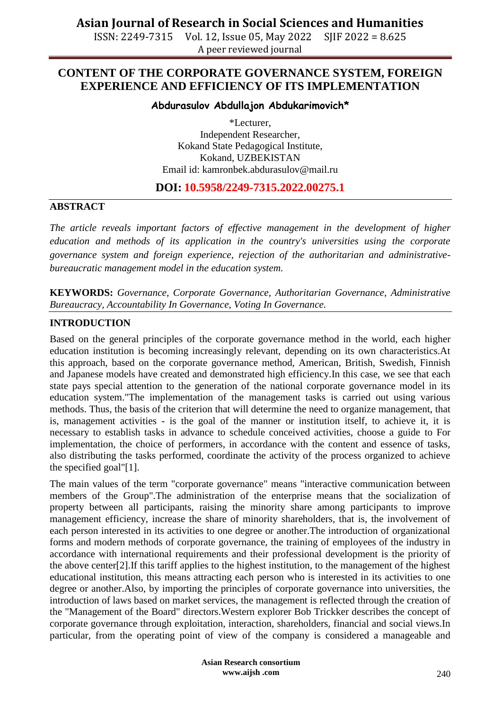ISSN: 2249-7315 Vol. 12, Issue 05, May 2022 SJIF 2022 = 8.625 A peer reviewed journal

### **CONTENT OF THE CORPORATE GOVERNANCE SYSTEM, FOREIGN EXPERIENCE AND EFFICIENCY OF ITS IMPLEMENTATION**

**Abdurasulov Abdullajon Abdukarimovich\***

\*Lecturer, Independent Researcher, Kokand State Pedagogical Institute, Kokand, UZBEKISTAN Email id: [kamronbek.abdurasulov@mail.ru](mailto:kamronbek.abdurasulov@mail.ru)

#### **DOI: 10.5958/2249-7315.2022.00275.1**

#### **ABSTRACT**

*The article reveals important factors of effective management in the development of higher education and methods of its application in the country's universities using the corporate governance system and foreign experience, rejection of the authoritarian and administrativebureaucratic management model in the education system.*

**KEYWORDS:** *Governance, Corporate Governance, Authoritarian Governance, Administrative Bureaucracy, Accountability In Governance, Voting In Governance.*

#### **INTRODUCTION**

Based on the general principles of the corporate governance method in the world, each higher education institution is becoming increasingly relevant, depending on its own characteristics.At this approach, based on the corporate governance method, American, British, Swedish, Finnish and Japanese models have created and demonstrated high efficiency.In this case, we see that each state pays special attention to the generation of the national corporate governance model in its education system."The implementation of the management tasks is carried out using various methods. Thus, the basis of the criterion that will determine the need to organize management, that is, management activities - is the goal of the manner or institution itself, to achieve it, it is necessary to establish tasks in advance to schedule conceived activities, choose a guide to For implementation, the choice of performers, in accordance with the content and essence of tasks, also distributing the tasks performed, coordinate the activity of the process organized to achieve the specified goal"[1].

The main values of the term "corporate governance" means "interactive communication between members of the Group".The administration of the enterprise means that the socialization of property between all participants, raising the minority share among participants to improve management efficiency, increase the share of minority shareholders, that is, the involvement of each person interested in its activities to one degree or another.The introduction of organizational forms and modern methods of corporate governance, the training of employees of the industry in accordance with international requirements and their professional development is the priority of the above center[2].If this tariff applies to the highest institution, to the management of the highest educational institution, this means attracting each person who is interested in its activities to one degree or another.Also, by importing the principles of corporate governance into universities, the introduction of laws based on market services, the management is reflected through the creation of the "Management of the Board" directors.Western explorer Bob Trickker describes the concept of corporate governance through exploitation, interaction, shareholders, financial and social views.In particular, from the operating point of view of the company is considered a manageable and

> **Asian Research consortium www.aijsh .com**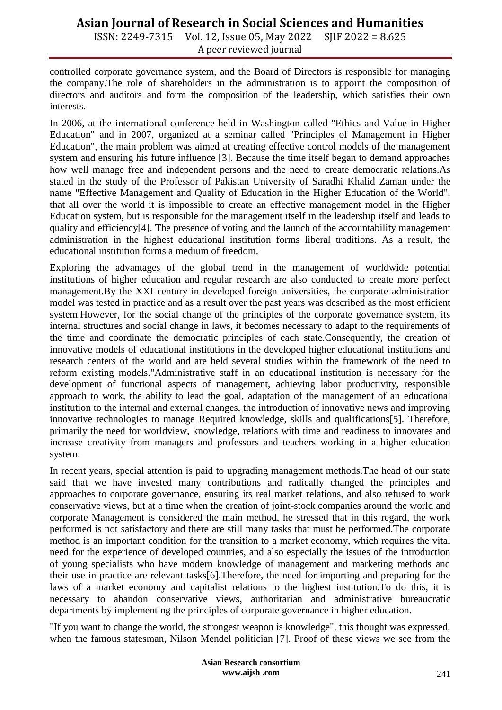ISSN: 2249-7315 Vol. 12, Issue 05, May 2022 SJIF 2022 = 8.625 A peer reviewed journal

controlled corporate governance system, and the Board of Directors is responsible for managing the company.The role of shareholders in the administration is to appoint the composition of directors and auditors and form the composition of the leadership, which satisfies their own interests.

In 2006, at the international conference held in Washington called "Ethics and Value in Higher Education" and in 2007, organized at a seminar called "Principles of Management in Higher Education", the main problem was aimed at creating effective control models of the management system and ensuring his future influence [3]. Because the time itself began to demand approaches how well manage free and independent persons and the need to create democratic relations.As stated in the study of the Professor of Pakistan University of Saradhi Khalid Zaman under the name "Effective Management and Quality of Education in the Higher Education of the World", that all over the world it is impossible to create an effective management model in the Higher Education system, but is responsible for the management itself in the leadership itself and leads to quality and efficiency[4]. The presence of voting and the launch of the accountability management administration in the highest educational institution forms liberal traditions. As a result, the educational institution forms a medium of freedom.

Exploring the advantages of the global trend in the management of worldwide potential institutions of higher education and regular research are also conducted to create more perfect management.By the XXI century in developed foreign universities, the corporate administration model was tested in practice and as a result over the past years was described as the most efficient system.However, for the social change of the principles of the corporate governance system, its internal structures and social change in laws, it becomes necessary to adapt to the requirements of the time and coordinate the democratic principles of each state.Consequently, the creation of innovative models of educational institutions in the developed higher educational institutions and research centers of the world and are held several studies within the framework of the need to reform existing models."Administrative staff in an educational institution is necessary for the development of functional aspects of management, achieving labor productivity, responsible approach to work, the ability to lead the goal, adaptation of the management of an educational institution to the internal and external changes, the introduction of innovative news and improving innovative technologies to manage Required knowledge, skills and qualifications[5]. Therefore, primarily the need for worldview, knowledge, relations with time and readiness to innovates and increase creativity from managers and professors and teachers working in a higher education system.

In recent years, special attention is paid to upgrading management methods.The head of our state said that we have invested many contributions and radically changed the principles and approaches to corporate governance, ensuring its real market relations, and also refused to work conservative views, but at a time when the creation of joint-stock companies around the world and corporate Management is considered the main method, he stressed that in this regard, the work performed is not satisfactory and there are still many tasks that must be performed.The corporate method is an important condition for the transition to a market economy, which requires the vital need for the experience of developed countries, and also especially the issues of the introduction of young specialists who have modern knowledge of management and marketing methods and their use in practice are relevant tasks[6].Therefore, the need for importing and preparing for the laws of a market economy and capitalist relations to the highest institution.To do this, it is necessary to abandon conservative views, authoritarian and administrative bureaucratic departments by implementing the principles of corporate governance in higher education.

"If you want to change the world, the strongest weapon is knowledge", this thought was expressed, when the famous statesman, Nilson Mendel politician [7]. Proof of these views we see from the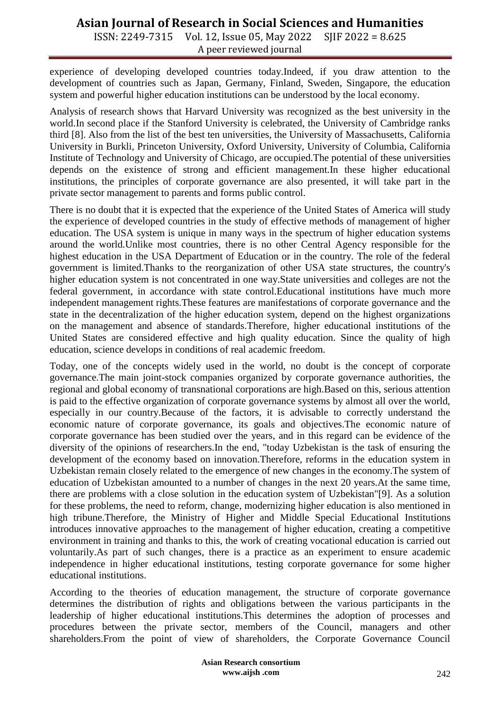ISSN: 2249-7315 Vol. 12, Issue 05, May 2022 SJIF 2022 = 8.625 A peer reviewed journal

experience of developing developed countries today.Indeed, if you draw attention to the development of countries such as Japan, Germany, Finland, Sweden, Singapore, the education system and powerful higher education institutions can be understood by the local economy.

Analysis of research shows that Harvard University was recognized as the best university in the world.In second place if the Stanford University is celebrated, the University of Cambridge ranks third [8]. Also from the list of the best ten universities, the University of Massachusetts, California University in Burkli, Princeton University, Oxford University, University of Columbia, California Institute of Technology and University of Chicago, are occupied.The potential of these universities depends on the existence of strong and efficient management.In these higher educational institutions, the principles of corporate governance are also presented, it will take part in the private sector management to parents and forms public control.

There is no doubt that it is expected that the experience of the United States of America will study the experience of developed countries in the study of effective methods of management of higher education. The USA system is unique in many ways in the spectrum of higher education systems around the world.Unlike most countries, there is no other Central Agency responsible for the highest education in the USA Department of Education or in the country. The role of the federal government is limited.Thanks to the reorganization of other USA state structures, the country's higher education system is not concentrated in one way.State universities and colleges are not the federal government, in accordance with state control.Educational institutions have much more independent management rights.These features are manifestations of corporate governance and the state in the decentralization of the higher education system, depend on the highest organizations on the management and absence of standards.Therefore, higher educational institutions of the United States are considered effective and high quality education. Since the quality of high education, science develops in conditions of real academic freedom.

Today, one of the concepts widely used in the world, no doubt is the concept of corporate governance.The main joint-stock companies organized by corporate governance authorities, the regional and global economy of transnational corporations are high.Based on this, serious attention is paid to the effective organization of corporate governance systems by almost all over the world, especially in our country.Because of the factors, it is advisable to correctly understand the economic nature of corporate governance, its goals and objectives.The economic nature of corporate governance has been studied over the years, and in this regard can be evidence of the diversity of the opinions of researchers.In the end, "today Uzbekistan is the task of ensuring the development of the economy based on innovation.Therefore, reforms in the education system in Uzbekistan remain closely related to the emergence of new changes in the economy.The system of education of Uzbekistan amounted to a number of changes in the next 20 years.At the same time, there are problems with a close solution in the education system of Uzbekistan"[9]. As a solution for these problems, the need to reform, change, modernizing higher education is also mentioned in high tribune.Therefore, the Ministry of Higher and Middle Special Educational Institutions introduces innovative approaches to the management of higher education, creating a competitive environment in training and thanks to this, the work of creating vocational education is carried out voluntarily.As part of such changes, there is a practice as an experiment to ensure academic independence in higher educational institutions, testing corporate governance for some higher educational institutions.

According to the theories of education management, the structure of corporate governance determines the distribution of rights and obligations between the various participants in the leadership of higher educational institutions.This determines the adoption of processes and procedures between the private sector, members of the Council, managers and other shareholders.From the point of view of shareholders, the Corporate Governance Council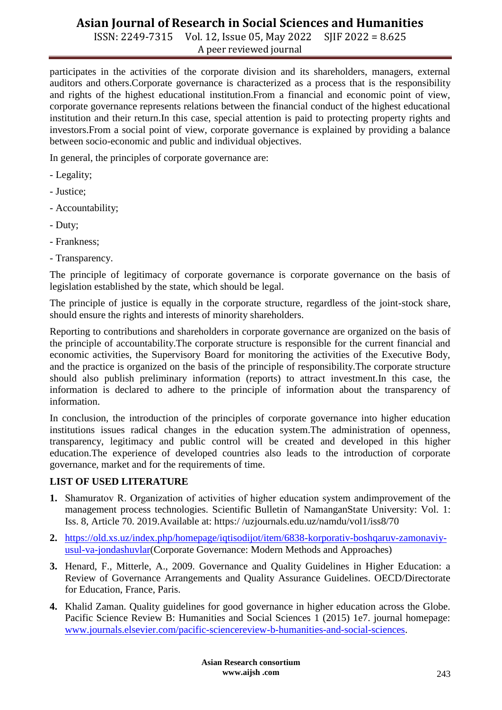ISSN: 2249-7315 Vol. 12, Issue 05, May 2022 SJIF 2022 = 8.625 A peer reviewed journal

participates in the activities of the corporate division and its shareholders, managers, external auditors and others.Corporate governance is characterized as a process that is the responsibility and rights of the highest educational institution.From a financial and economic point of view, corporate governance represents relations between the financial conduct of the highest educational institution and their return.In this case, special attention is paid to protecting property rights and investors.From a social point of view, corporate governance is explained by providing a balance between socio-economic and public and individual objectives.

In general, the principles of corporate governance are:

- Legality;
- Justice;
- Accountability;
- Duty;
- Frankness;
- Transparency.

The principle of legitimacy of corporate governance is corporate governance on the basis of legislation established by the state, which should be legal.

The principle of justice is equally in the corporate structure, regardless of the joint-stock share, should ensure the rights and interests of minority shareholders.

Reporting to contributions and shareholders in corporate governance are organized on the basis of the principle of accountability.The corporate structure is responsible for the current financial and economic activities, the Supervisory Board for monitoring the activities of the Executive Body, and the practice is organized on the basis of the principle of responsibility.The corporate structure should also publish preliminary information (reports) to attract investment.In this case, the information is declared to adhere to the principle of information about the transparency of information.

In conclusion, the introduction of the principles of corporate governance into higher education institutions issues radical changes in the education system.The administration of openness, transparency, legitimacy and public control will be created and developed in this higher education.The experience of developed countries also leads to the introduction of corporate governance, market and for the requirements of time.

#### **LIST OF USED LITERATURE**

- **1.** Shamuratov R. Оrganization of activities of higher education system andimprovement of the management process technologies. Scientific Bulletin of NamanganState University: Vol. 1: Iss. 8, Article 70. 2019.Available at: https:/ /uzjournals.edu.uz/namdu/vol1/iss8/70
- **2.** [https://old.xs.uz/index.php/homepage/iqtisodijot/item/6838-korporativ-boshqaruv-zamonaviy](https://old.xs.uz/index.php/homepage/iqtisodijot/item/6838-korporativ-boshqaruv-zamonaviy-usul-va-jondashuvlar)[usul-va-jondashuvlar\(](https://old.xs.uz/index.php/homepage/iqtisodijot/item/6838-korporativ-boshqaruv-zamonaviy-usul-va-jondashuvlar)Corporate Governance: Modern Methods and Approaches)
- **3.** Henard, F., Mitterle, A., 2009. Governance and Quality Guidelines in Higher Education: a Review of Governance Arrangements and Quality Assurance Guidelines. OECD/Directorate for Education, France, Paris.
- **4.** Khalid Zaman. Quality guidelines for good governance in higher education across the Globe. Pacific Science Review B: Humanities and Social Sciences 1 (2015) 1e7. journal homepage: [www.journals.elsevier.com/pacific-sciencereview-b-humanities-and-social-sciences.](http://www.journals.elsevier.com/pacific-sciencereview-b-humanities-and-social-sciences)